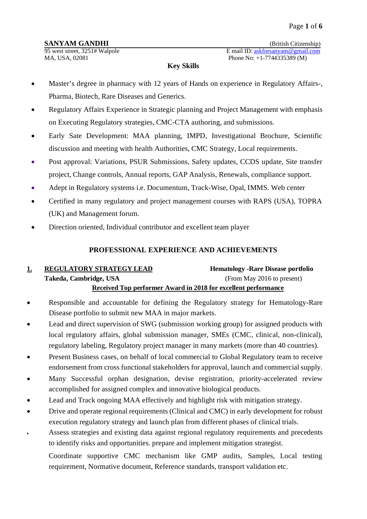95 west street, 3251# Walpole E mail ID: <u>askforsanyam@gmail.com</u><br>MA, USA, 02081 Phone No: +1-7744335389 (M)

Phone No:  $+1-7744335389$  (M)

### **Key Skills**

- Master's degree in pharmacy with 12 years of Hands on experience in Regulatory Affairs-, Pharma, Biotech, Rare Diseases and Generics.
- Regulatory Affairs Experience in Strategic planning and Project Management with emphasis on Executing Regulatory strategies, CMC-CTA authoring, and submissions.
- Early Sate Development: MAA planning, IMPD, Investigational Brochure, Scientific discussion and meeting with health Authorities, CMC Strategy, Local requirements.
- Post approval: Variations, PSUR Submissions, Safety updates, CCDS update, Site transfer project, Change controls, Annual reports, GAP Analysis, Renewals, compliance support.
- Adept in Regulatory systems i.e. Documentum, Track-Wise, Opal, IMMS. Web center
- Certified in many regulatory and project management courses with RAPS (USA), TOPRA (UK) and Management forum.
- Direction oriented, Individual contributor and excellent team player

# **PROFESSIONAL EXPERIENCE AND ACHIEVEMENTS**

# **1. REGULATORY STRATEGY LEAD Hematology -Rare Disease portfolio Takeda, Cambridge, USA** (From May 2016 to present) **Received Top performer Award in 2018 for excellent performance**

- Responsible and accountable for defining the Regulatory strategy for Hematology-Rare Disease portfolio to submit new MAA in major markets.
- Lead and direct supervision of SWG (submission working group) for assigned products with local regulatory affairs, global submission manager, SMEs (CMC, clinical, non-clinical), regulatory labeling, Regulatory project manager in many markets (more than 40 countries).
- Present Business cases, on behalf of local commercial to Global Regulatory team to receive endorsement from cross functional stakeholders for approval, launch and commercial supply.
- Many Successful orphan designation, devise registration, priority-accelerated review accomplished for assigned complex and innovative biological products.
- Lead and Track ongoing MAA effectively and highlight risk with mitigation strategy.
- Drive and operate regional requirements (Clinical and CMC) in early development for robust execution regulatory strategy and launch plan from different phases of clinical trials.
- Assess strategies and existing data against regional regulatory requirements and precedents to identify risks and opportunities. prepare and implement mitigation strategist.

Coordinate supportive CMC mechanism like GMP audits, Samples, Local testing requirement, Normative document, Reference standards, transport validation etc.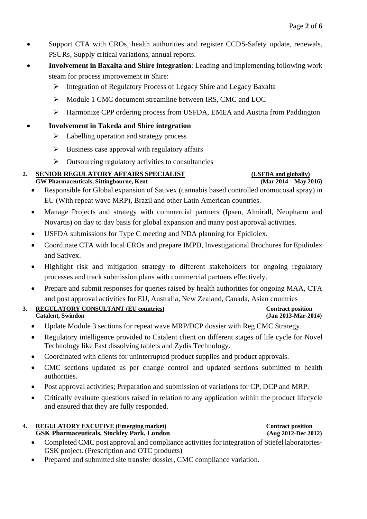- Support CTA with CROs, health authorities and register CCDS-Safety update, renewals, PSURs, Supply critical variations, annual reports.
- **Involvement in Baxalta and Shire integration**: Leading and implementing following work steam for process improvement in Shire:
	- Integration of Regulatory Process of Legacy Shire and Legacy Baxalta
	- $\triangleright$  Module 1 CMC document streamline between IRS, CMC and LOC
	- Harmonize CPP ordering process from USFDA, EMEA and Austria from Paddington
- **Involvement in Takeda and Shire integration**
	- $\triangleright$  Labelling operation and strategy process
	- $\triangleright$  Business case approval with regulatory affairs
	- $\triangleright$  Outsourcing regulatory activities to consultancies

### 2. **SENIOR REGULATORY AFFAIRS SPECIALIST** (USFDA and globally)<br>
GW Pharmaceuticals, Sittingbourne, Kent (Mar 2014 – May 2016)  $GW$  Pharmaceuticals, Sittingbourne, Kent

- Responsible for Global expansion of Sativex (cannabis based controlled oromucosal spray) in EU (With repeat wave MRP), Brazil and other Latin American countries.
- Manage Projects and strategy with commercial partners (Ipsen, Almirall, Neopharm and Novartis) on day to day basis for global expansion and many post approval activities.
- USFDA submissions for Type C meeting and NDA planning for Epidiolex.
- Coordinate CTA with local CROs and prepare IMPD, Investigational Brochures for Epidiolex and Sativex.
- Highlight risk and mitigation strategy to different stakeholders for ongoing regulatory processes and track submission plans with commercial partners effectively.
- Prepare and submit responses for queries raised by health authorities for ongoing MAA, CTA and post approval activities for EU, Australia, New Zealand, Canada, Asian countries
- **3. REGULATORY CONSULTANT (EU countries) Contract position Catalent, Swindon (Jan 2013-Mar-20)** 
	- Update Module 3 sections for repeat wave MRP/DCP dossier with Reg CMC Strategy.
	- Regulatory intelligence provided to Catalent client on different stages of life cycle for Novel Technology like Fast dissolving tablets and Zydis Technology.
	- Coordinated with clients for uninterrupted product supplies and product approvals.
	- CMC sections updated as per change control and updated sections submitted to health authorities.
	- Post approval activities; Preparation and submission of variations for CP, DCP and MRP.
	- Critically evaluate questions raised in relation to any application within the product lifecycle and ensured that they are fully responded.

### **4. REGULATORY EXCUTIVE (Emerging market) Contract position GSK Pharmaceuticals, Stockley Park, London (Aug 2012-Dec 2012)**

- Completed CMC post approval and compliance activities for integration of Stiefel laboratories-GSK project. (Prescription and OTC products)
- Prepared and submitted site transfer dossier, CMC compliance variation.

**Catalent, Swindon (Jan 2013-Mar-2014)**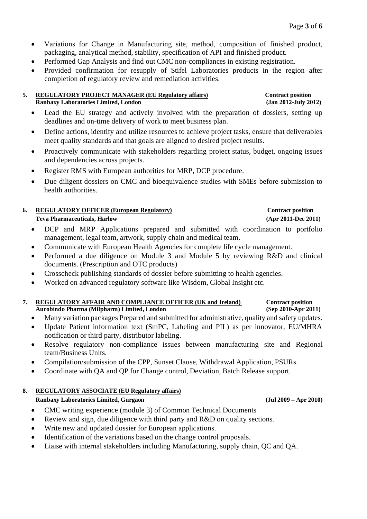- Variations for Change in Manufacturing site, method, composition of finished product, packaging, analytical method, stability, specification of API and finished product.
- Performed Gap Analysis and find out CMC non-compliances in existing registration.
- Provided confirmation for resupply of Stifel Laboratories products in the region after completion of regulatory review and remediation activities.

# **5. REGULATORY PROJECT MANAGER (EU Regulatory affairs) Contract position**

**Ranbaxy Laboratories Limited, London** 

- Lead the EU strategy and actively involved with the preparation of dossiers, setting up deadlines and on-time delivery of work to meet business plan.
- Define actions, identify and utilize resources to achieve project tasks, ensure that deliverables meet quality standards and that goals are aligned to desired project results.
- Proactively communicate with stakeholders regarding project status, budget, ongoing issues and dependencies across projects.
- Register RMS with European authorities for MRP, DCP procedure.
- Due diligent dossiers on CMC and bioequivalence studies with SMEs before submission to health authorities.

### **6. REGULATORY OFFICER (European Regulatory) Contract position Teva Pharmaceuticals, Harlow (Apr 2011-Dec 2011)**

- DCP and MRP Applications prepared and submitted with coordination to portfolio management, legal team, artwork, supply chain and medical team.
- Communicate with European Health Agencies for complete life cycle management.
- Performed a due diligence on Module 3 and Module 5 by reviewing R&D and clinical documents. (Prescription and OTC products)
- Crosscheck publishing standards of dossier before submitting to health agencies.
- Worked on advanced regulatory software like Wisdom, Global Insight etc.

### **7. REGULATORY AFFAIR AND COMPLIANCE OFFICER (UK and Ireland) Contract position Aurobindo Pharma (Milpharm) Limited, London (Sep 2010-Apr 2011)**

- Many variation packages Prepared and submitted for administrative, quality and safety updates.
- Update Patient information text (SmPC, Labeling and PIL) as per innovator, EU/MHRA notification or third party, distributor labeling.
- Resolve regulatory non-compliance issues between manufacturing site and Regional team/Business Units.
- Compilation/submission of the CPP, Sunset Clause, Withdrawal Application, PSURs.
- Coordinate with QA and QP for Change control, Deviation, Batch Release support.

### **8. REGULATORY ASSOCIATE (EU Regulatory affairs) Ranbaxy Laboratories Limited, Gurgaon (Jul 2009 – Apr 2010)**

- CMC writing experience (module 3) of Common Technical Documents
- Review and sign, due diligence with third party and R&D on quality sections.
- Write new and updated dossier for European applications.
- Identification of the variations based on the change control proposals.
- Liaise with internal stakeholders including Manufacturing, supply chain, QC and QA.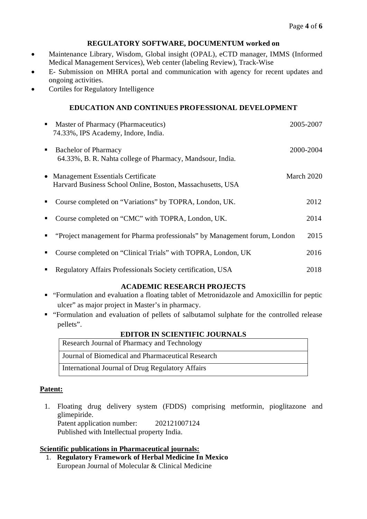### **REGULATORY SOFTWARE, DOCUMENTUM worked on**

- Maintenance Library, Wisdom, Global insight (OPAL), eCTD manager, IMMS (Informed Medical Management Services), Web center (labeling Review), Track-Wise
- E- Submission on MHRA portal and communication with agency for recent updates and ongoing activities.
- Cortiles for Regulatory Intelligence

# **EDUCATION AND CONTINUES PROFESSIONAL DEVELOPMENT**

| ٠ | Master of Pharmacy (Pharmaceutics)<br>74.33%, IPS Academy, Indore, India.                         | 2005-2007  |
|---|---------------------------------------------------------------------------------------------------|------------|
| ٠ | <b>Bachelor of Pharmacy</b><br>64.33%, B. R. Nahta college of Pharmacy, Mandsour, India.          | 2000-2004  |
|   | • Management Essentials Certificate<br>Harvard Business School Online, Boston, Massachusetts, USA | March 2020 |
| ٠ | Course completed on "Variations" by TOPRA, London, UK.                                            | 2012       |
| п | Course completed on "CMC" with TOPRA, London, UK.                                                 | 2014       |
|   | "Project management for Pharma professionals" by Management forum, London                         | 2015       |
| п | Course completed on "Clinical Trials" with TOPRA, London, UK                                      | 2016       |
| п | Regulatory Affairs Professionals Society certification, USA                                       | 2018       |

### **ACADEMIC RESEARCH PROJECTS**

- "Formulation and evaluation a floating tablet of Metronidazole and Amoxicillin for peptic ulcer" as major project in Master's in pharmacy.
- "Formulation and evaluation of pellets of salbutamol sulphate for the controlled release pellets".

### **EDITOR IN SCIENTIFIC JOURNALS**

| Research Journal of Pharmacy and Technology       |
|---------------------------------------------------|
| Journal of Biomedical and Pharmaceutical Research |
| International Journal of Drug Regulatory Affairs  |

# **Patent:**

1. Floating drug delivery system (FDDS) comprising metformin, pioglitazone and glimepiride. Patent application number: 202121007124 Published with Intellectual property India.

### **Scientific publications in Pharmaceutical journals:**

1. **Regulatory Framework of Herbal Medicine In Mexico** European Journal of Molecular & Clinical Medicine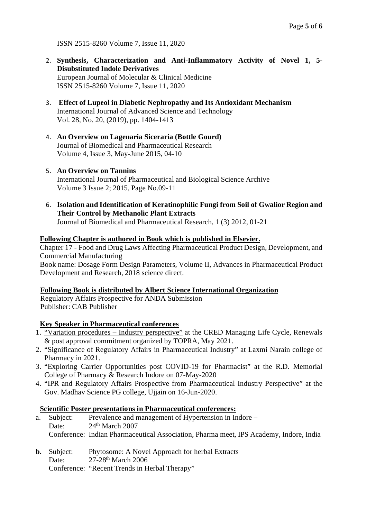ISSN 2515-8260 Volume 7, Issue 11, 2020

- 2. **Synthesis, Characterization and Anti-Inflammatory Activity of Novel 1, 5- Disubstituted Indole Derivatives** European Journal of Molecular & Clinical Medicine ISSN 2515-8260 Volume 7, Issue 11, 2020
- 3. **Effect of Lupeol in Diabetic Nephropathy and Its Antioxidant Mechanism** International Journal of Advanced Science and Technology Vol. 28, No. 20, (2019), pp. 1404-1413
- 4. **An Overview on Lagenaria Siceraria (Bottle Gourd)** Journal of Biomedical and Pharmaceutical Research Volume 4, Issue 3, May-June 2015, 04-10
- 5. **An Overview on Tannins** International Journal of Pharmaceutical and Biological Science Archive Volume 3 Issue 2; 2015, Page No.09-11
- 6. **Isolation and Identification of Keratinophilic Fungi from Soil of Gwalior Region and Their Control by Methanolic Plant Extracts** Journal of Biomedical and Pharmaceutical Research, 1 (3) 2012, 01-21

### **Following Chapter is authored in Book which is published in Elsevier.**

Chapter 17 - Food and Drug Laws Affecting Pharmaceutical Product Design, Development, and Commercial Manufacturing

Book name: Dosage Form Design Parameters, Volume II, Advances in Pharmaceutical Product Development and Research, 2018 science direct.

# **Following Book is distributed by Albert Science International Organization**

Regulatory Affairs Prospective for ANDA Submission Publisher: CAB Publisher

# **Key Speaker in Pharmaceutical conferences**

- 1. "Variation procedures Industry perspective" at the CRED Managing Life Cycle, Renewals & post approval commitment organized by TOPRA, May 2021.
- 2. "Significance of Regulatory Affairs in Pharmaceutical Industry" at Laxmi Narain college of Pharmacy in 2021.
- 3. "Exploring Carrier Opportunities post COVID-19 for Pharmacist" at the R.D. Memorial College of Pharmacy & Research Indore on 07-May-2020
- 4. "IPR and Regulatory Affairs Prospective from Pharmaceutical Industry Perspective" at the Gov. Madhav Science PG college, Ujjain on 16-Jun-2020.

### **Scientific Poster presentations in Pharmaceutical conferences:**

- a. Subject: Prevalence and management of Hypertension in Indore Date: 24<sup>th</sup> March 2007 Conference: Indian Pharmaceutical Association, Pharma meet, IPS Academy, Indore, India
- **b.** Subject: Phytosome: A Novel Approach for herbal Extracts
	- Date: 27-28<sup>th</sup> March 2006
		- Conference: "Recent Trends in Herbal Therapy"